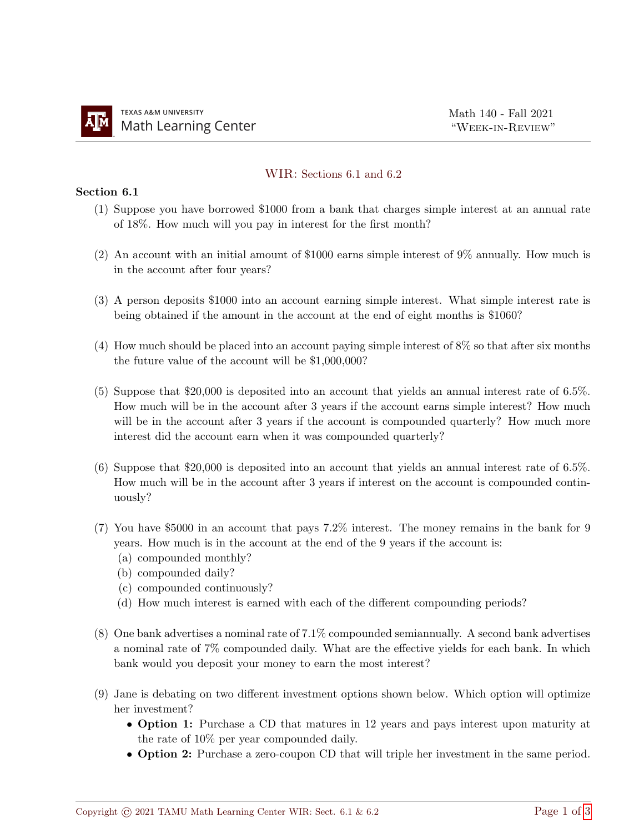## WIR: Sections 6.1 and 6.2

## Section 6.1

- (1) Suppose you have borrowed \$1000 from a bank that charges simple interest at an annual rate of 18%. How much will you pay in interest for the first month?
- (2) An account with an initial amount of \$1000 earns simple interest of 9% annually. How much is in the account after four years?
- (3) A person deposits \$1000 into an account earning simple interest. What simple interest rate is being obtained if the amount in the account at the end of eight months is \$1060?
- (4) How much should be placed into an account paying simple interest of 8% so that after six months the future value of the account will be \$1,000,000?
- (5) Suppose that \$20,000 is deposited into an account that yields an annual interest rate of 6.5%. How much will be in the account after 3 years if the account earns simple interest? How much will be in the account after 3 years if the account is compounded quarterly? How much more interest did the account earn when it was compounded quarterly?
- (6) Suppose that \$20,000 is deposited into an account that yields an annual interest rate of 6.5%. How much will be in the account after 3 years if interest on the account is compounded continuously?
- (7) You have \$5000 in an account that pays 7.2% interest. The money remains in the bank for 9 years. How much is in the account at the end of the 9 years if the account is:
	- (a) compounded monthly?
	- (b) compounded daily?
	- (c) compounded continuously?
	- (d) How much interest is earned with each of the different compounding periods?
- (8) One bank advertises a nominal rate of 7.1% compounded semiannually. A second bank advertises a nominal rate of 7% compounded daily. What are the effective yields for each bank. In which bank would you deposit your money to earn the most interest?
- (9) Jane is debating on two different investment options shown below. Which option will optimize her investment?
	- Option 1: Purchase a CD that matures in 12 years and pays interest upon maturity at the rate of 10% per year compounded daily.
	- Option 2: Purchase a zero-coupon CD that will triple her investment in the same period.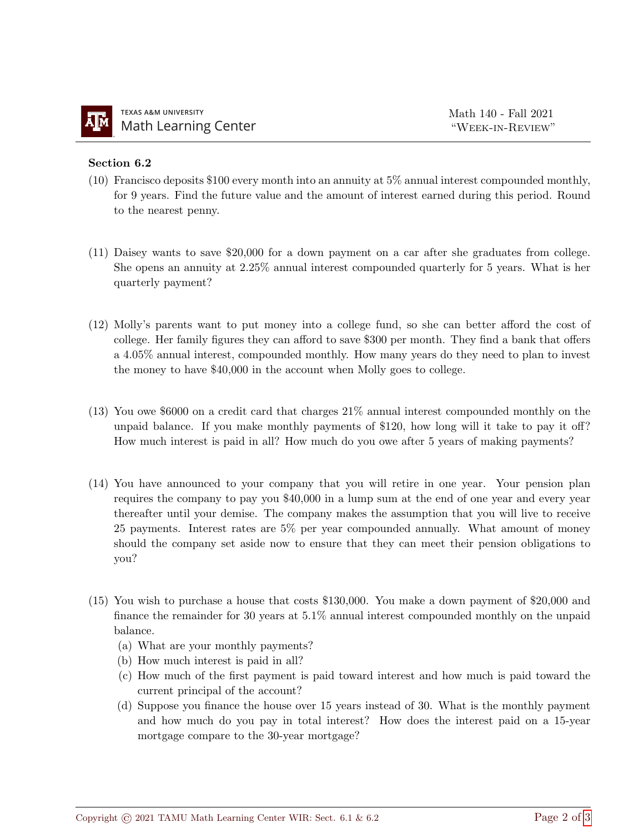## Section 6.2

- (10) Francisco deposits \$100 every month into an annuity at 5% annual interest compounded monthly, for 9 years. Find the future value and the amount of interest earned during this period. Round to the nearest penny.
- (11) Daisey wants to save \$20,000 for a down payment on a car after she graduates from college. She opens an annuity at 2.25% annual interest compounded quarterly for 5 years. What is her quarterly payment?
- (12) Molly's parents want to put money into a college fund, so she can better afford the cost of college. Her family figures they can afford to save \$300 per month. They find a bank that offers a 4.05% annual interest, compounded monthly. How many years do they need to plan to invest the money to have \$40,000 in the account when Molly goes to college.
- (13) You owe \$6000 on a credit card that charges 21% annual interest compounded monthly on the unpaid balance. If you make monthly payments of \$120, how long will it take to pay it off? How much interest is paid in all? How much do you owe after 5 years of making payments?
- (14) You have announced to your company that you will retire in one year. Your pension plan requires the company to pay you \$40,000 in a lump sum at the end of one year and every year thereafter until your demise. The company makes the assumption that you will live to receive 25 payments. Interest rates are 5% per year compounded annually. What amount of money should the company set aside now to ensure that they can meet their pension obligations to you?
- (15) You wish to purchase a house that costs \$130,000. You make a down payment of \$20,000 and finance the remainder for 30 years at 5.1% annual interest compounded monthly on the unpaid balance.
	- (a) What are your monthly payments?
	- (b) How much interest is paid in all?
	- (c) How much of the first payment is paid toward interest and how much is paid toward the current principal of the account?
	- (d) Suppose you finance the house over 15 years instead of 30. What is the monthly payment and how much do you pay in total interest? How does the interest paid on a 15-year mortgage compare to the 30-year mortgage?